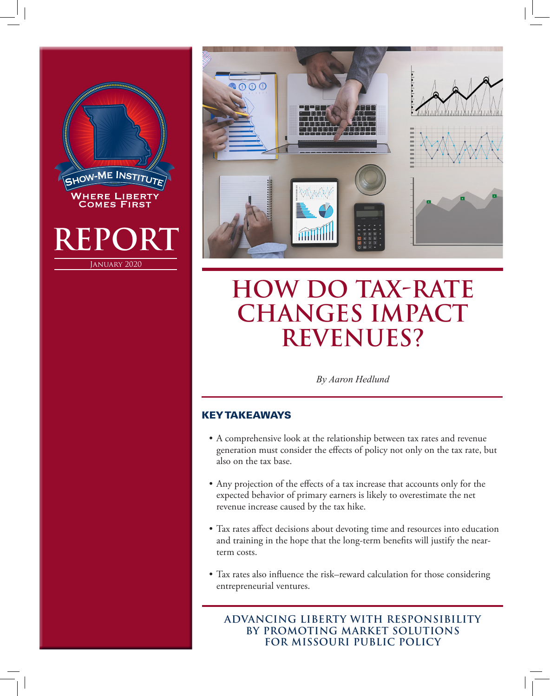



# **HOW DO TAX-RATE CHANGES IMPACT REVENUES?**

*By Aaron Hedlund*

## KEY TAKEAWAYS

- A comprehensive look at the relationship between tax rates and revenue generation must consider the effects of policy not only on the tax rate, but also on the tax base.
- Any projection of the effects of a tax increase that accounts only for the expected behavior of primary earners is likely to overestimate the net revenue increase caused by the tax hike.
- Tax rates affect decisions about devoting time and resources into education and training in the hope that the long-term benefits will justify the nearterm costs.
- Tax rates also influence the risk–reward calculation for those considering entrepreneurial ventures.

**ADVANCING LIBERTY WITH RESPONSIBILITY BY PROMOTING MARKET SOLUTIONS FOR MISSOURI PUBLIC POLICY**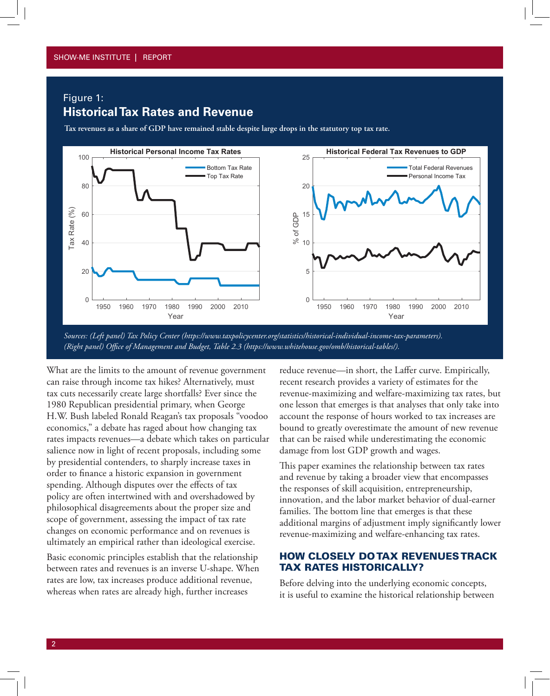#### Figure 1:

# **Historical Tax Rates and Revenue**

**Tax revenues as a share of GDP have remained stable despite large drops in the statutory top tax rate.**



*(Right panel) Office of Management and Budget, Table 2.3 (https://www.whitehouse.gov/omb/historical-tables/).*

What are the limits to the amount of revenue government can raise through income tax hikes? Alternatively, must tax cuts necessarily create large shortfalls? Ever since the 1980 Republican presidential primary, when George H.W. Bush labeled Ronald Reagan's tax proposals "voodoo economics," a debate has raged about how changing tax rates impacts revenues—a debate which takes on particular salience now in light of recent proposals, including some by presidential contenders, to sharply increase taxes in order to finance a historic expansion in government spending. Although disputes over the effects of tax policy are often intertwined with and overshadowed by philosophical disagreements about the proper size and scope of government, assessing the impact of tax rate changes on economic performance and on revenues is ultimately an empirical rather than ideological exercise.

Basic economic principles establish that the relationship between rates and revenues is an inverse U-shape. When rates are low, tax increases produce additional revenue, whereas when rates are already high, further increases

reduce revenue—in short, the Laffer curve. Empirically, recent research provides a variety of estimates for the revenue-maximizing and welfare-maximizing tax rates, but one lesson that emerges is that analyses that only take into account the response of hours worked to tax increases are bound to greatly overestimate the amount of new revenue that can be raised while underestimating the economic damage from lost GDP growth and wages.

This paper examines the relationship between tax rates and revenue by taking a broader view that encompasses the responses of skill acquisition, entrepreneurship, innovation, and the labor market behavior of dual-earner families. The bottom line that emerges is that these additional margins of adjustment imply significantly lower revenue-maximizing and welfare-enhancing tax rates.

## HOW CLOSELY DO TAX REVENUES TRACK TAX RATES HISTORICALLY?

Before delving into the underlying economic concepts, it is useful to examine the historical relationship between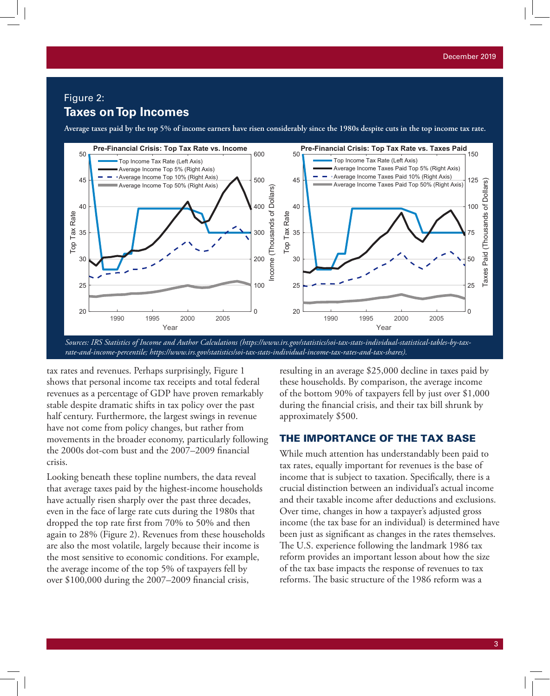# Figure 2: **Taxes on Top Incomes**

**Average taxes paid by the top 5% of income earners have risen considerably since the 1980s despite cuts in the top income tax rate.**



*rate-and-income-percentile; https://www.irs.gov/statistics/soi-tax-stats-individual-income-tax-rates-and-tax-shares).*

tax rates and revenues. Perhaps surprisingly, Figure 1 shows that personal income tax receipts and total federal revenues as a percentage of GDP have proven remarkably stable despite dramatic shifts in tax policy over the past half century. Furthermore, the largest swings in revenue have not come from policy changes, but rather from movements in the broader economy, particularly following the 2000s dot-com bust and the 2007–2009 financial crisis.

Looking beneath these topline numbers, the data reveal that average taxes paid by the highest-income households have actually risen sharply over the past three decades, even in the face of large rate cuts during the 1980s that dropped the top rate first from 70% to 50% and then again to 28% (Figure 2). Revenues from these households are also the most volatile, largely because their income is the most sensitive to economic conditions. For example, the average income of the top 5% of taxpayers fell by over \$100,000 during the 2007–2009 financial crisis,

resulting in an average \$25,000 decline in taxes paid by these households. By comparison, the average income of the bottom 90% of taxpayers fell by just over \$1,000 during the financial crisis, and their tax bill shrunk by approximately \$500.

#### THE IMPORTANCE OF THE TAX BASE

While much attention has understandably been paid to tax rates, equally important for revenues is the base of income that is subject to taxation. Specifically, there is a crucial distinction between an individual's actual income and their taxable income after deductions and exclusions. Over time, changes in how a taxpayer's adjusted gross income (the tax base for an individual) is determined have been just as significant as changes in the rates themselves. The U.S. experience following the landmark 1986 tax reform provides an important lesson about how the size of the tax base impacts the response of revenues to tax reforms. The basic structure of the 1986 reform was a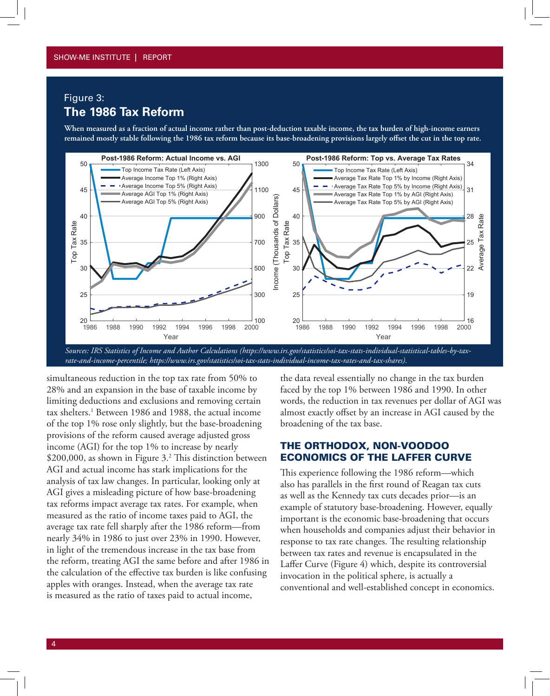# Figure 3: **The 1986 Tax Reform**

**When measured as a fraction of actual income rather than post-deduction taxable income, the tax burden of high-income earners remained mostly stable following the 1986 tax reform because its base-broadening provisions largely offset the cut in the top rate.**



simultaneous reduction in the top tax rate from 50% to 28% and an expansion in the base of taxable income by limiting deductions and exclusions and removing certain tax shelters.1 Between 1986 and 1988, the actual income of the top 1% rose only slightly, but the base-broadening provisions of the reform caused average adjusted gross income (AGI) for the top 1% to increase by nearly \$200,000, as shown in Figure 3.2 This distinction between AGI and actual income has stark implications for the analysis of tax law changes. In particular, looking only at AGI gives a misleading picture of how base-broadening tax reforms impact average tax rates. For example, when measured as the ratio of income taxes paid to AGI, the average tax rate fell sharply after the 1986 reform—from nearly 34% in 1986 to just over 23% in 1990. However, in light of the tremendous increase in the tax base from the reform, treating AGI the same before and after 1986 in the calculation of the effective tax burden is like confusing apples with oranges. Instead, when the average tax rate is measured as the ratio of taxes paid to actual income,

the data reveal essentially no change in the tax burden faced by the top 1% between 1986 and 1990. In other words, the reduction in tax revenues per dollar of AGI was almost exactly offset by an increase in AGI caused by the broadening of the tax base.

### THE ORTHODOX, NON-VOODOO ECONOMICS OF THE LAFFER CURVE

This experience following the 1986 reform—which also has parallels in the first round of Reagan tax cuts as well as the Kennedy tax cuts decades prior—is an example of statutory base-broadening. However, equally important is the economic base-broadening that occurs when households and companies adjust their behavior in response to tax rate changes. The resulting relationship between tax rates and revenue is encapsulated in the Laffer Curve (Figure 4) which, despite its controversial invocation in the political sphere, is actually a conventional and well-established concept in economics.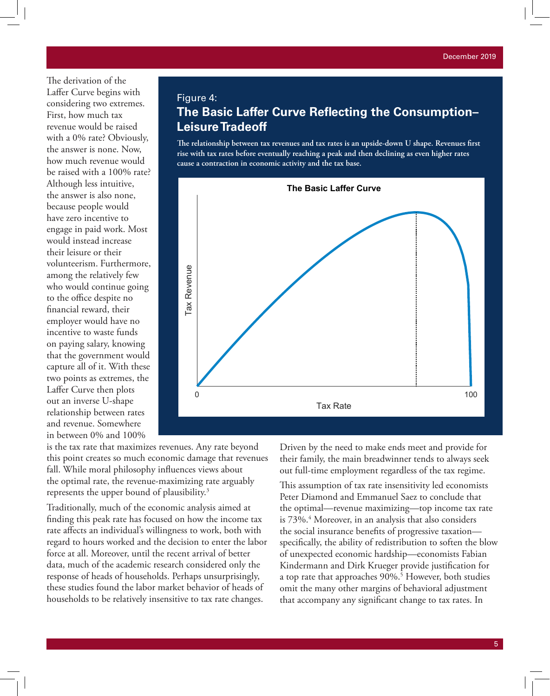The derivation of the Laffer Curve begins with considering two extremes. First, how much tax revenue would be raised with a 0% rate? Obviously, the answer is none. Now, how much revenue would be raised with a 100% rate? Although less intuitive, the answer is also none, because people would have zero incentive to engage in paid work. Most would instead increase their leisure or their volunteerism. Furthermore, among the relatively few who would continue going to the office despite no financial reward, their employer would have no incentive to waste funds on paying salary, knowing that the government would capture all of it. With these two points as extremes, the Laffer Curve then plots out an inverse U-shape relationship between rates and revenue. Somewhere in between 0% and 100%

# Figure 4: **The Basic Laffer Curve Reflecting the Consumption– Leisure Tradeoff**

**The relationship between tax revenues and tax rates is an upside-down U shape. Revenues first rise with tax rates before eventually reaching a peak and then declining as even higher rates cause a contraction in economic activity and the tax base.**



is the tax rate that maximizes revenues. Any rate beyond this point creates so much economic damage that revenues fall. While moral philosophy influences views about the optimal rate, the revenue-maximizing rate arguably represents the upper bound of plausibility.3

Traditionally, much of the economic analysis aimed at finding this peak rate has focused on how the income tax rate affects an individual's willingness to work, both with regard to hours worked and the decision to enter the labor force at all. Moreover, until the recent arrival of better data, much of the academic research considered only the response of heads of households. Perhaps unsurprisingly, these studies found the labor market behavior of heads of households to be relatively insensitive to tax rate changes.

Driven by the need to make ends meet and provide for their family, the main breadwinner tends to always seek out full-time employment regardless of the tax regime.

This assumption of tax rate insensitivity led economists Peter Diamond and Emmanuel Saez to conclude that the optimal—revenue maximizing—top income tax rate is 73%.4 Moreover, in an analysis that also considers the social insurance benefits of progressive taxation specifically, the ability of redistribution to soften the blow of unexpected economic hardship—economists Fabian Kindermann and Dirk Krueger provide justification for a top rate that approaches 90%.<sup>5</sup> However, both studies omit the many other margins of behavioral adjustment that accompany any significant change to tax rates. In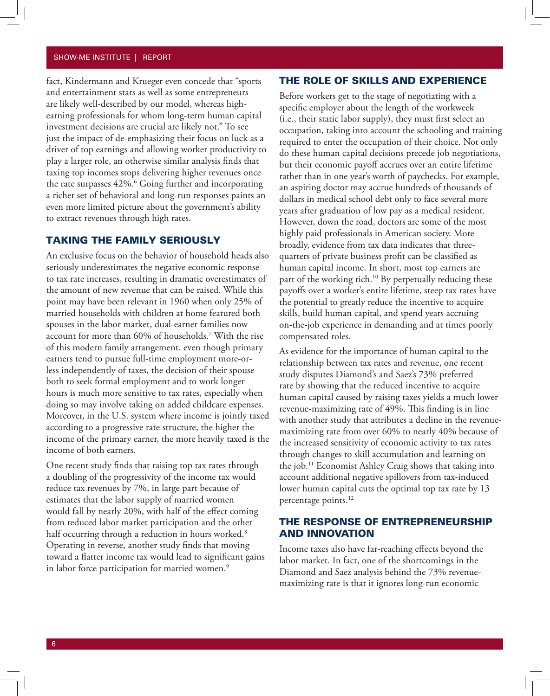#### SHOW-ME INSTITUTE | REPORT

fact, Kindermann and Krueger even concede that "sports and entertainment stars as well as some entrepreneurs are likely well-described by our model, whereas highearning professionals for whom long-term human capital investment decisions are crucial are likely not." To see just the impact of de-emphasizing their focus on luck as a driver of top earnings and allowing worker productivity to play a larger role, an otherwise similar analysis finds that taxing top incomes stops delivering higher revenues once the rate surpasses 42%.<sup>6</sup> Going further and incorporating a richer set of behavioral and long-run responses paints an even more limited picture about the government's ability to extract revenues through high rates.

## TAKING THE FAMILY SERIOUSLY

An exclusive focus on the behavior of household heads also seriously underestimates the negative economic response to tax rate increases, resulting in dramatic overestimates of the amount of new revenue that can be raised. While this point may have been relevant in 1960 when only 25% of married households with children at home featured both spouses in the labor market, dual-earner families now account for more than 60% of households.7 With the rise of this modern family arrangement, even though primary earners tend to pursue full-time employment more-orless independently of taxes, the decision of their spouse both to seek formal employment and to work longer hours is much more sensitive to tax rates, especially when doing so may involve taking on added childcare expenses. Moreover, in the U.S. system where income is jointly taxed according to a progressive rate structure, the higher the income of the primary earner, the more heavily taxed is the income of both earners.

One recent study finds that raising top tax rates through a doubling of the progressivity of the income tax would reduce tax revenues by 7%, in large part because of estimates that the labor supply of married women would fall by nearly 20%, with half of the effect coming from reduced labor market participation and the other half occurring through a reduction in hours worked.<sup>8</sup> Operating in reverse, another study finds that moving toward a flatter income tax would lead to significant gains in labor force participation for married women.<sup>9</sup>

#### THE ROLE OF SKILLS AND EXPERIENCE

Before workers get to the stage of negotiating with a specific employer about the length of the workweek (i.e., their static labor supply), they must first select an occupation, taking into account the schooling and training required to enter the occupation of their choice. Not only do these human capital decisions precede job negotiations, but their economic payoff accrues over an entire lifetime rather than in one year's worth of paychecks. For example, an aspiring doctor may accrue hundreds of thousands of dollars in medical school debt only to face several more years after graduation of low pay as a medical resident. However, down the road, doctors are some of the most highly paid professionals in American society. More broadly, evidence from tax data indicates that threequarters of private business profit can be classified as human capital income. In short, most top earners are part of the working rich.<sup>10</sup> By perpetually reducing these payoffs over a worker's entire lifetime, steep tax rates have the potential to greatly reduce the incentive to acquire skills, build human capital, and spend years accruing on-the-job experience in demanding and at times poorly compensated roles.

As evidence for the importance of human capital to the relationship between tax rates and revenue, one recent study disputes Diamond's and Saez's 73% preferred rate by showing that the reduced incentive to acquire human capital caused by raising taxes yields a much lower revenue-maximizing rate of 49%. This finding is in line with another study that attributes a decline in the revenuemaximizing rate from over 60% to nearly 40% because of the increased sensitivity of economic activity to tax rates through changes to skill accumulation and learning on the job.11 Economist Ashley Craig shows that taking into account additional negative spillovers from tax-induced lower human capital cuts the optimal top tax rate by 13 percentage points.12

## THE RESPONSE OF ENTREPRENEURSHIP AND INNOVATION

Income taxes also have far-reaching effects beyond the labor market. In fact, one of the shortcomings in the Diamond and Saez analysis behind the 73% revenuemaximizing rate is that it ignores long-run economic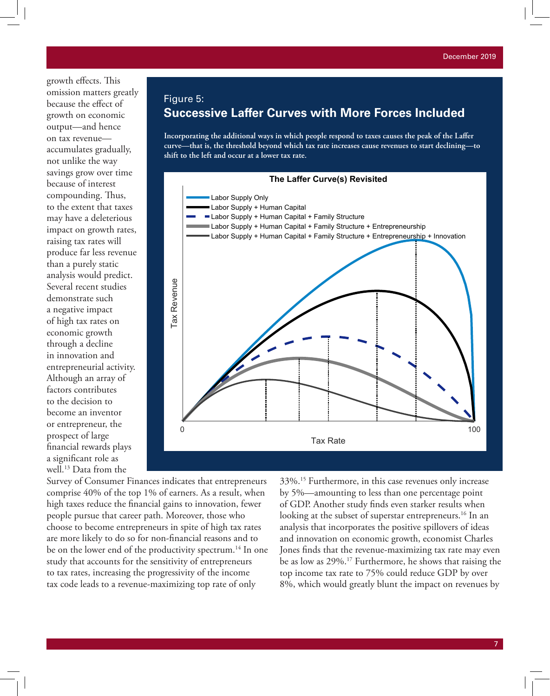growth effects. This omission matters greatly because the effect of growth on economic output—and hence on tax revenue accumulates gradually, not unlike the way savings grow over time because of interest compounding. Thus, to the extent that taxes may have a deleterious impact on growth rates, raising tax rates will produce far less revenue than a purely static analysis would predict. Several recent studies demonstrate such a negative impact of high tax rates on economic growth through a decline in innovation and entrepreneurial activity. Although an array of factors contributes to the decision to become an inventor or entrepreneur, the prospect of large financial rewards plays a significant role as well.<sup>13</sup> Data from the

## Figure 5: **Successive Laffer Curves with More Forces Included**

**Incorporating the additional ways in which people respond to taxes causes the peak of the Laffer curve—that is, the threshold beyond which tax rate increases cause revenues to start declining—to shift to the left and occur at a lower tax rate.**



Survey of Consumer Finances indicates that entrepreneurs comprise 40% of the top 1% of earners. As a result, when high taxes reduce the financial gains to innovation, fewer people pursue that career path. Moreover, those who choose to become entrepreneurs in spite of high tax rates are more likely to do so for non-financial reasons and to be on the lower end of the productivity spectrum.<sup>14</sup> In one study that accounts for the sensitivity of entrepreneurs to tax rates, increasing the progressivity of the income tax code leads to a revenue-maximizing top rate of only

33%.15 Furthermore, in this case revenues only increase by 5%—amounting to less than one percentage point of GDP. Another study finds even starker results when looking at the subset of superstar entrepreneurs.<sup>16</sup> In an analysis that incorporates the positive spillovers of ideas and innovation on economic growth, economist Charles Jones finds that the revenue-maximizing tax rate may even be as low as 29%.17 Furthermore, he shows that raising the top income tax rate to 75% could reduce GDP by over 8%, which would greatly blunt the impact on revenues by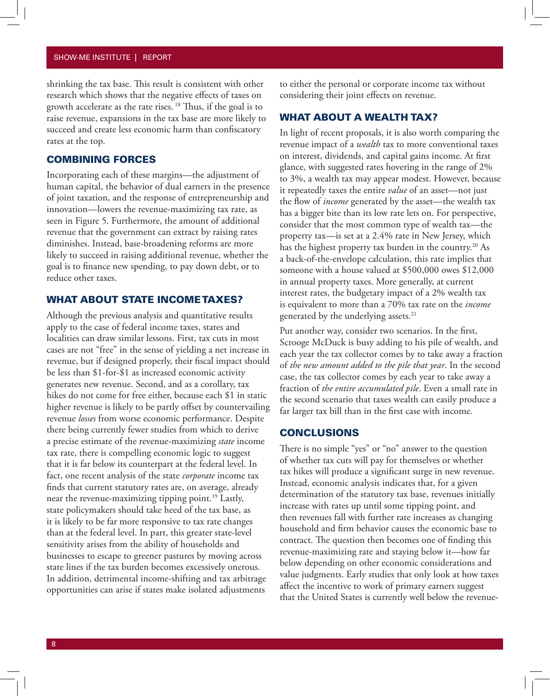#### SHOW-ME INSTITUTE | REPORT

shrinking the tax base. This result is consistent with other research which shows that the negative effects of taxes on growth accelerate as the rate rises. 18 Thus, if the goal is to raise revenue, expansions in the tax base are more likely to succeed and create less economic harm than confiscatory rates at the top.

### COMBINING FORCES

Incorporating each of these margins—the adjustment of human capital, the behavior of dual earners in the presence of joint taxation, and the response of entrepreneurship and innovation—lowers the revenue-maximizing tax rate, as seen in Figure 5. Furthermore, the amount of additional revenue that the government can extract by raising rates diminishes. Instead, base-broadening reforms are more likely to succeed in raising additional revenue, whether the goal is to finance new spending, to pay down debt, or to reduce other taxes.

#### WHAT ABOUT STATE INCOME TAXES?

Although the previous analysis and quantitative results apply to the case of federal income taxes, states and localities can draw similar lessons. First, tax cuts in most cases are not "free" in the sense of yielding a net increase in revenue, but if designed properly, their fiscal impact should be less than \$1-for-\$1 as increased economic activity generates new revenue. Second, and as a corollary, tax hikes do not come for free either, because each \$1 in static higher revenue is likely to be partly offset by countervailing revenue *losses* from worse economic performance. Despite there being currently fewer studies from which to derive a precise estimate of the revenue-maximizing *state* income tax rate, there is compelling economic logic to suggest that it is far below its counterpart at the federal level. In fact, one recent analysis of the state *corporate* income tax finds that current statutory rates are, on average, already near the revenue-maximizing tipping point.<sup>19</sup> Lastly, state policymakers should take heed of the tax base, as it is likely to be far more responsive to tax rate changes than at the federal level. In part, this greater state-level sensitivity arises from the ability of households and businesses to escape to greener pastures by moving across state lines if the tax burden becomes excessively onerous. In addition, detrimental income-shifting and tax arbitrage opportunities can arise if states make isolated adjustments

to either the personal or corporate income tax without considering their joint effects on revenue.

## WHAT ABOUT A WEALTH TAX?

In light of recent proposals, it is also worth comparing the revenue impact of a *wealth* tax to more conventional taxes on interest, dividends, and capital gains income. At first glance, with suggested rates hovering in the range of 2% to 3%, a wealth tax may appear modest. However, because it repeatedly taxes the entire *value* of an asset—not just the flow of *income* generated by the asset—the wealth tax has a bigger bite than its low rate lets on. For perspective, consider that the most common type of wealth tax—the property tax—is set at a 2.4% rate in New Jersey, which has the highest property tax burden in the country.<sup>20</sup> As a back-of-the-envelope calculation, this rate implies that someone with a house valued at \$500,000 owes \$12,000 in annual property taxes. More generally, at current interest rates, the budgetary impact of a 2% wealth tax is equivalent to more than a 70% tax rate on the *income* generated by the underlying assets.<sup>21</sup>

Put another way, consider two scenarios. In the first, Scrooge McDuck is busy adding to his pile of wealth, and each year the tax collector comes by to take away a fraction of *the new amount added to the pile that year*. In the second case, the tax collector comes by each year to take away a fraction of *the entire accumulated pile*. Even a small rate in the second scenario that taxes wealth can easily produce a far larger tax bill than in the first case with income.

#### **CONCLUSIONS**

There is no simple "yes" or "no" answer to the question of whether tax cuts will pay for themselves or whether tax hikes will produce a significant surge in new revenue. Instead, economic analysis indicates that, for a given determination of the statutory tax base, revenues initially increase with rates up until some tipping point, and then revenues fall with further rate increases as changing household and firm behavior causes the economic base to contract. The question then becomes one of finding this revenue-maximizing rate and staying below it—how far below depending on other economic considerations and value judgments. Early studies that only look at how taxes affect the incentive to work of primary earners suggest that the United States is currently well below the revenue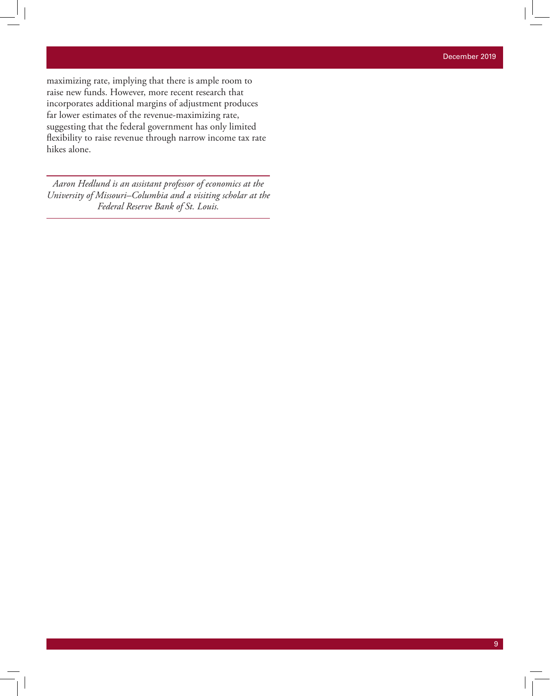maximizing rate, implying that there is ample room to raise new funds. However, more recent research that incorporates additional margins of adjustment produces far lower estimates of the revenue-maximizing rate, suggesting that the federal government has only limited flexibility to raise revenue through narrow income tax rate hikes alone.

*Aaron Hedlund is an assistant professor of economics at the University of Missouri–Columbia and a visiting scholar at the Federal Reserve Bank of St. Louis.*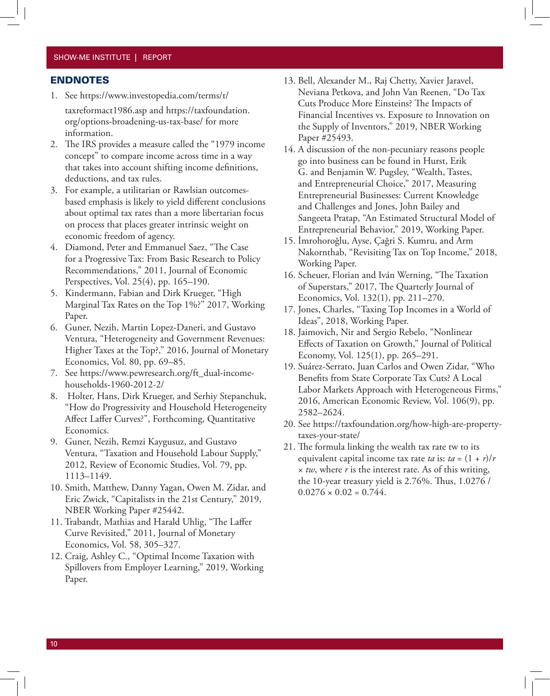#### SHOW-ME INSTITUTE | REPORT

#### ENDNOTES

- 1. See https://www.investopedia.com/terms/t/ taxreformact1986.asp and https://taxfoundation. org/options-broadening-us-tax-base/ for more information.
- 2. The IRS provides a measure called the "1979 income concept" to compare income across time in a way that takes into account shifting income definitions, deductions, and tax rules.
- 3. For example, a utilitarian or Rawlsian outcomesbased emphasis is likely to yield different conclusions about optimal tax rates than a more libertarian focus on process that places greater intrinsic weight on economic freedom of agency.
- 4. Diamond, Peter and Emmanuel Saez, "The Case for a Progressive Tax: From Basic Research to Policy Recommendations," 2011, Journal of Economic Perspectives, Vol. 25(4), pp. 165–190.
- 5. Kindermann, Fabian and Dirk Krueger, "High Marginal Tax Rates on the Top 1%?" 2017, Working Paper.
- 6. Guner, Nezih, Martin Lopez-Daneri, and Gustavo Ventura, "Heterogeneity and Government Revenues: Higher Taxes at the Top?," 2016, Journal of Monetary Economics, Vol. 80, pp. 69–85.
- 7. See https://www.pewresearch.org/ft\_dual-incomehouseholds-1960-2012-2/
- 8. Holter, Hans, Dirk Krueger, and Serhiy Stepanchuk, "How do Progressivity and Household Heterogeneity Affect Laffer Curves?", Forthcoming, Quantitative Economics.
- 9. Guner, Nezih, Remzi Kaygusuz, and Gustavo Ventura, "Taxation and Household Labour Supply," 2012, Review of Economic Studies, Vol. 79, pp. 1113–1149.
- 10. Smith, Matthew, Danny Yagan, Owen M. Zidar, and Eric Zwick, "Capitalists in the 21st Century," 2019, NBER Working Paper #25442.
- 11. Trabandt, Mathias and Harald Uhlig, "The Laffer Curve Revisited," 2011, Journal of Monetary Economics, Vol. 58, 305–327.
- 12. Craig, Ashley C., "Optimal Income Taxation with Spillovers from Employer Learning," 2019, Working Paper.
- 13. Bell, Alexander M., Raj Chetty, Xavier Jaravel, Neviana Petkova, and John Van Reenen, "Do Tax Cuts Produce More Einsteins? The Impacts of Financial Incentives vs. Exposure to Innovation on the Supply of Inventors," 2019, NBER Working Paper #25493.
- 14. A discussion of the non-pecuniary reasons people go into business can be found in Hurst, Erik G. and Benjamin W. Pugsley, "Wealth, Tastes, and Entrepreneurial Choice," 2017, Measuring Entrepreneurial Businesses: Current Knowledge and Challenges and Jones, John Bailey and Sangeeta Pratap, "An Estimated Structural Model of Entrepreneurial Behavior," 2019, Working Paper.
- 15. İmrohoroğlu, Ayse, Çağri S. Kumru, and Arm Nakornthab, "Revisiting Tax on Top Income," 2018, Working Paper.
- 16. Scheuer, Florian and Iván Werning, "The Taxation of Superstars," 2017, The Quarterly Journal of Economics, Vol. 132(1), pp. 211–270.
- 17. Jones, Charles, "Taxing Top Incomes in a World of Ideas", 2018, Working Paper.
- 18. Jaimovich, Nir and Sergio Rebelo, "Nonlinear Effects of Taxation on Growth," Journal of Political Economy, Vol. 125(1), pp. 265–291.
- 19. Suárez-Serrato, Juan Carlos and Owen Zidar, "Who Benefits from State Corporate Tax Cuts? A Local Labor Markets Approach with Heterogeneous Firms," 2016, American Economic Review, Vol. 106(9), pp. 2582–2624.
- 20. See https://taxfoundation.org/how-high-are-propertytaxes-your-state/
- 21. The formula linking the wealth tax rate tw to its equivalent capital income tax rate *ta* is: *ta* = (1 + *r*)/*r* × *tw*, where *r* is the interest rate. As of this writing, the 10-year treasury yield is 2.76%. Thus, 1.0276 /  $0.0276 \times 0.02 = 0.744$ .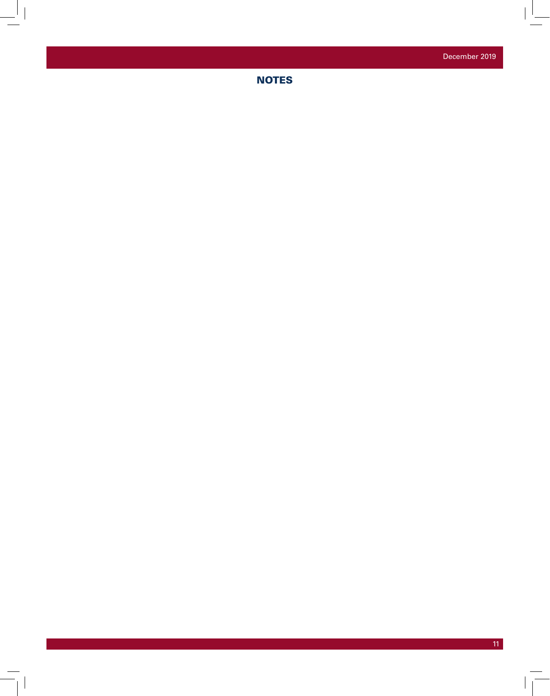December 2019

**NOTES** 

 $\Box$ 

 $\mathbf{r}$